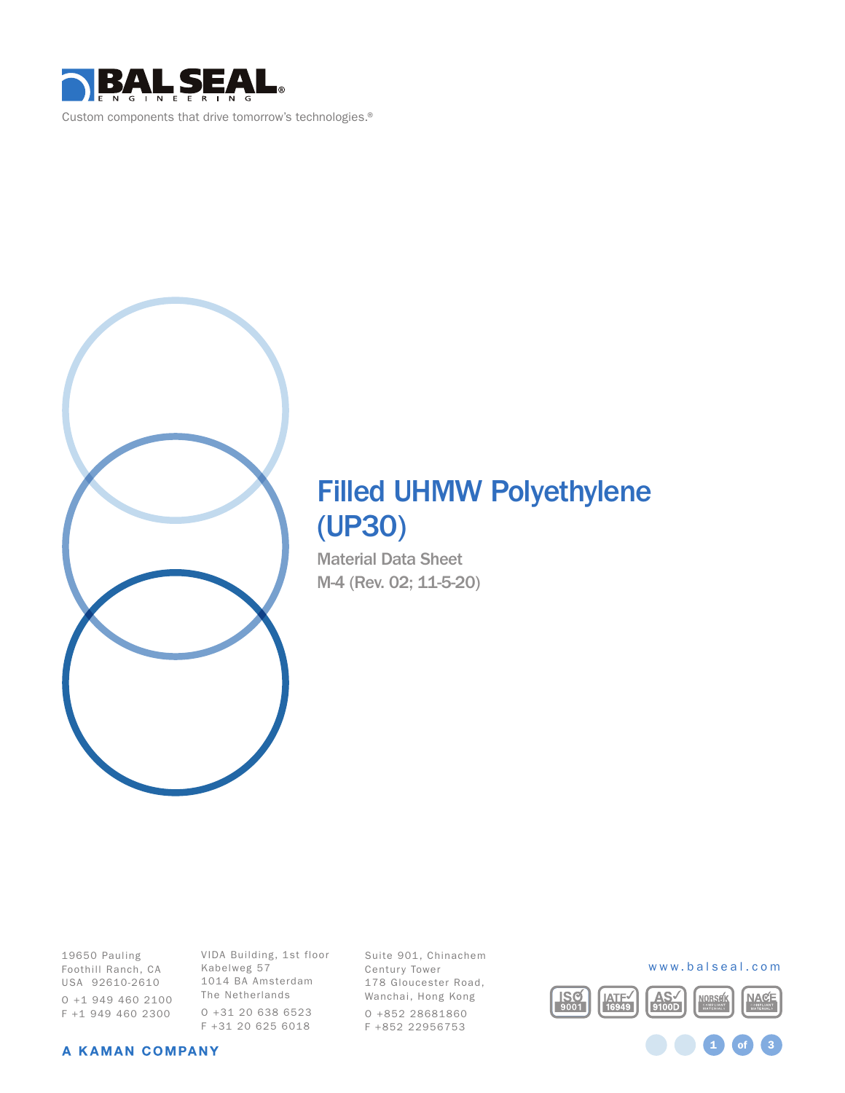



# Filled UHMW Polyethylene (UP30)

Material Data Sheet M-4 (Rev. 02; 11-5-20)

19650 Pauling Foothill Ranch, CA USA 92610-2610 O +1 949 460 2100 F +1 949 460 2300

VIDA Building, 1st floor Kabelweg 57 1014 BA Amsterdam The Netherlands O +31 20 638 6523 F +31 20 625 6018

Suite 901, Chinachem Century Tower 178 Gloucester Road, Wanchai, Hong Kong O +852 28681860 F +852 22956753



1 **of** 3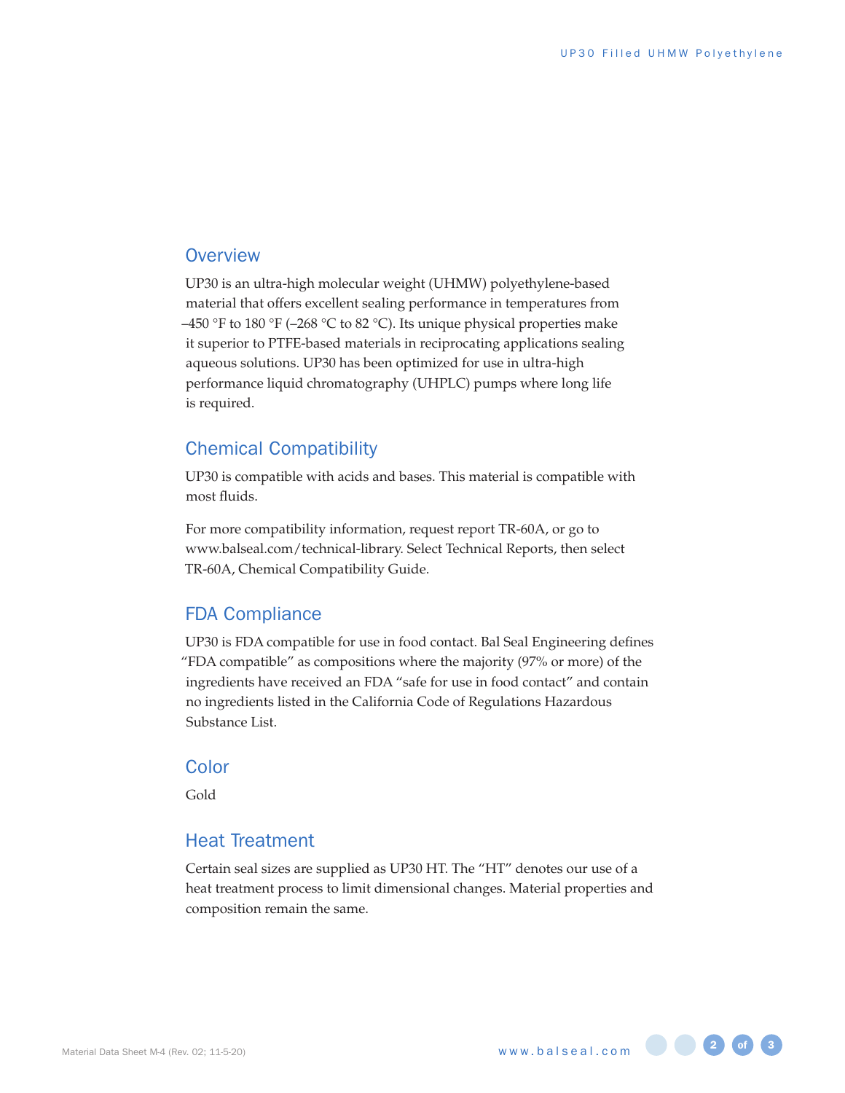#### **Overview**

UP30 is an ultra-high molecular weight (UHMW) polyethylene-based material that offers excellent sealing performance in temperatures from –450 °F to 180 °F (–268 °C to 82 °C). Its unique physical properties make it superior to PTFE-based materials in reciprocating applications sealing aqueous solutions. UP30 has been optimized for use in ultra-high performance liquid chromatography (UHPLC) pumps where long life is required.

#### Chemical Compatibility

UP30 is compatible with acids and bases. This material is compatible with most fluids.

For more compatibility information, request report TR-60A, or go to www.balseal.com/technical-library. Select Technical Reports, then select TR-60A, Chemical Compatibility Guide.

#### FDA Compliance

UP30 is FDA compatible for use in food contact. Bal Seal Engineering defines "FDA compatible" as compositions where the majority (97% or more) of the ingredients have received an FDA "safe for use in food contact" and contain no ingredients listed in the California Code of Regulations Hazardous Substance List.

#### **Color**

Gold

#### Heat Treatment

Certain seal sizes are supplied as UP30 HT. The "HT" denotes our use of a heat treatment process to limit dimensional changes. Material properties and composition remain the same.